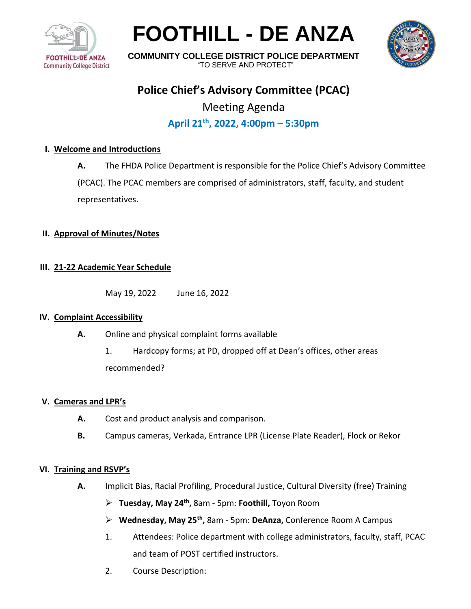

# **FOOTHILL - DE ANZA**



**COMMUNITY COLLEGE DISTRICT POLICE DEPARTMENT** "TO SERVE AND PROTECT"

## **Police Chief's Advisory Committee (PCAC)**

Meeting Agenda **April 21th , 2022, 4:00pm – 5:30pm**

#### **I. Welcome and Introductions**

**A.** The FHDA Police Department is responsible for the Police Chief's Advisory Committee

(PCAC). The PCAC members are comprised of administrators, staff, faculty, and student representatives.

#### **II. Approval of Minutes/Notes**

#### **III. 21-22 Academic Year Schedule**

May 19, 2022 June 16, 2022

#### **IV. Complaint Accessibility**

- **A.** Online and physical complaint forms available
	- 1. Hardcopy forms; at PD, dropped off at Dean's offices, other areas recommended?

#### **V. Cameras and LPR's**

- **A.** Cost and product analysis and comparison.
- **B.** Campus cameras, Verkada, Entrance LPR (License Plate Reader), Flock or Rekor

#### **VI. Training and RSVP's**

- **A.** Implicit Bias, Racial Profiling, Procedural Justice, Cultural Diversity (free) Training
	- ➢ **Tuesday, May 24th ,** 8am 5pm: **Foothill,** Toyon Room
	- ➢ **Wednesday, May 25th ,** 8am 5pm: **DeAnza,** Conference Room A Campus
	- 1. Attendees: Police department with college administrators, faculty, staff, PCAC and team of POST certified instructors.
	- 2. Course Description: